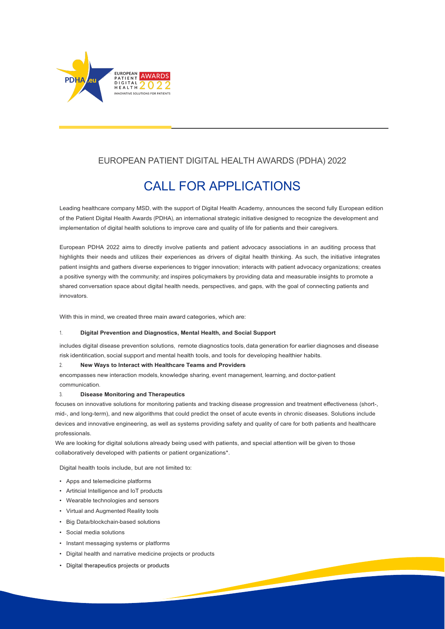

## EUROPEAN PATIENT DIGITAL HEALTH AWARDS (PDHA) 2022

# CALL FOR APPLICATIONS

Leading healthcare company MSD, with the support of Digital Health Academy, announces the second fully European edition of the Patient Digital Health Awards (PDHA), an international strategic initiative designed to recognize the development and implementation of digital health solutions to improve care and quality of life for patients and their caregivers.

European PDHA 2022 aims to directly involve patients and patient advocacy associations in an auditing process that highlights their needs and utilizes their experiences as drivers of digital health thinking. As such, the initiative integrates patient insights and gathers diverse experiences to trigger innovation; interacts with patient advocacy organizations; creates a positive synergy with the community; and inspires policymakers by providing data and measurable insights to promote a shared conversation space about digital health needs, perspectives, and gaps, with the goal of connecting patients and innovators.

With this in mind, we created three main award categories, which are:

#### 1. **Digital Prevention and Diagnostics, Mental Health, and Social Support**

includes digital disease prevention solutions, remote diagnostics tools, data generation for earlier diagnoses and disease risk identification, social support and mental health tools, and tools for developing healthier habits.

#### 2. **New Ways to Interact with Healthcare Teams and Providers**

encompasses new interaction models, knowledge sharing, event management, learning, and doctor-patient communication.

#### 3. **Disease Monitoring and Therapeutics**

focuses on innovative solutions for monitoring patients and tracking disease progression and treatment effectiveness (short-, mid-, and long-term), and new algorithms that could predict the onset of acute events in chronic diseases. Solutions include devices and innovative engineering, as well as systems providing safety and quality of care for both patients and healthcare professionals.

We are looking for digital solutions already being used with patients, and special attention will be given to those collaboratively developed with patients or patient organizations\*.

Digital health tools include, but are not limited to:

- Apps and telemedicine platforms
- Artificial Intelligence and IoT products
- Wearable technologies and sensors
- Virtual and Augmented Reality tools
- Big Data/blockchain-based solutions
- Social media solutions
- Instant messaging systems or platforms
- Digital health and narrative medicine projects or products
- Digital therapeutics projects or products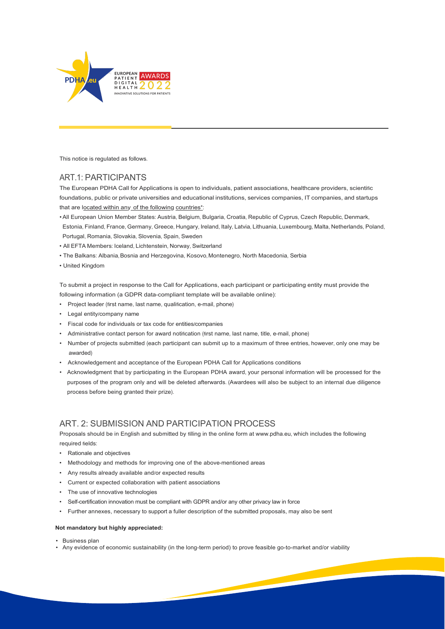

This notice is regulated as follows.

### ART.1: PARTICIPANTS

The European PDHA Call for Applications is open to individuals, patient associations, healthcare providers, scientific foundations, public or private universities and educational institutions, services companies, IT companies, and startups that are located within any of the following countries\*:

- •All European Union Member States: Austria, Belgium, Bulgaria, Croatia, Republic of Cyprus, Czech Republic, Denmark, Estonia, Finland, France, Germany, Greece, Hungary, Ireland, Italy, Latvia, Lithuania, Luxembourg, Malta, Netherlands, Poland, Portugal, Romania, Slovakia, Slovenia, Spain, Sweden
- All EFTA Members: Iceland, Lichtenstein, Norway, Switzerland
- The Balkans: Albania, Bosnia and Herzegovina, Kosovo, Montenegro, North Macedonia, Serbia
- United Kingdom

To submit a project in response to the Call for Applications, each participant or participating entity must provide the following information (a GDPR data-compliant template will be available online):

- Project leader (first name, last name, qualification, e-mail, phone)
- Legal entity/company name
- Fiscal code for individuals or tax code for entities/companies
- Administrative contact person for award notification (first name, last name, title, e-mail, phone)
- Number of projects submitted (each participant can submit up to a maximum of three entries, however, only one may be awarded)
- Acknowledgement and acceptance of the European PDHA Call for Applications conditions
- Acknowledgment that by participating in the European PDHA award, your personal information will be processed for the purposes of the program only and will be deleted afterwards. (Awardees will also be subject to an internal due diligence process before being granted their prize).

### ART. 2: SUBMISSION AND PARTICIPATION PROCESS

Proposals should be in English and submitted by filling in the online form a[t www](http://www.pdha.eu/).pdha.eu[,](http://www.pdha.eu/) which includes the following required fields:

- Rationale and objectives
- Methodology and methods for improving one of the above-mentioned areas
- Any results already available and/or expected results
- Current or expected collaboration with patient associations
- The use of innovative technologies
- Self-certification innovation must be compliant with GDPR and/or any other privacy law in force
- Further annexes, necessary to support a fuller description of the submitted proposals, may also be sent

#### **Not mandatory but highly appreciated:**

- Business plan
- Any evidence of economic sustainability (in the long-term period) to prove feasible go-to-market and/or viability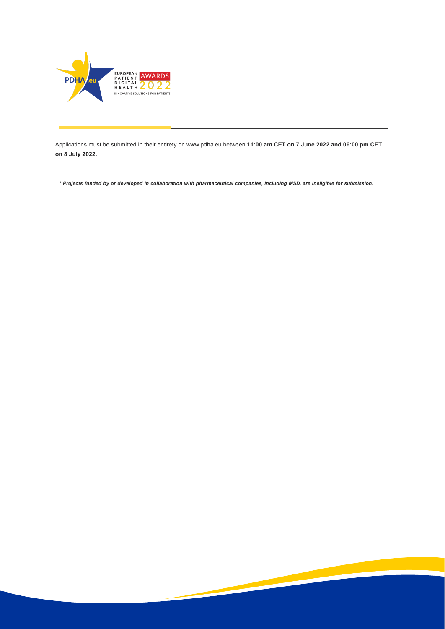

Applications must be submitted in their entirety on [www](http://www.pdha.eu/).pdha.eu between **11:00 am CET on 7 June 2022 and 06:00 pm CET on 8 July 2022.**

\* Projects funded by or developed in collaboration with pharmaceutical companies, including MSD, are ineligible for submission.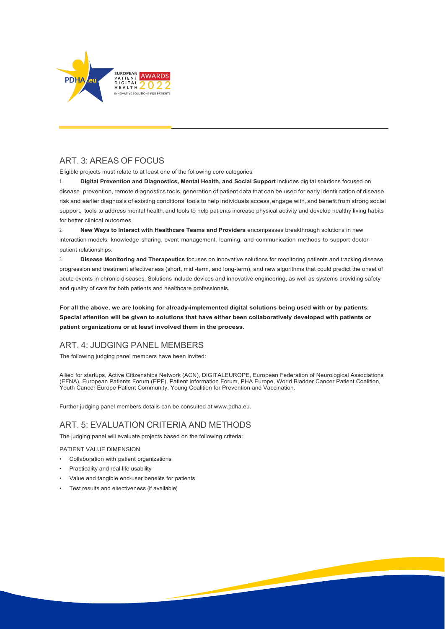

### ART. 3: AREAS OF FOCUS

Eligible projects must relate to at least one of the following core categories:

1. **Digital Prevention and Diagnostics, Mental Health, and Social Support** includes digital solutions focused on disease prevention, remote diagnostics tools, generation of patient data that can be used for early identification of disease risk and earlier diagnosis of existing conditions, tools to help individuals access, engage with, and benefit from strong social support, tools to address mental health, and tools to help patients increase physical activity and develop healthy living habits for better clinical outcomes.

2. **New Ways to Interact with Healthcare Teams and Providers** encompasses breakthrough solutions in new interaction models, knowledge sharing, event management, learning, and communication methods to support doctorpatient relationships.

3. **Disease Monitoring and Therapeutics** focuses on innovative solutions for monitoring patients and tracking disease progression and treatment effectiveness (short, mid -term, and long-term), and new algorithms that could predict the onset of acute events in chronic diseases. Solutions include devices and innovative engineering, as well as systems providing safety and quality of care for both patients and healthcare professionals.

**For all the above, we are looking for already-implemented digital solutions being used with or by patients. Special attention will be given to solutions that have either been collaboratively developed with patients or patient organizations or at least involved them in the process.**

### ART. 4: JUDGING PANEL MEMBERS

The following judging panel members have been invited:

Allied for startups, Active Citizenships Network (ACN), DIGITALEUROPE, European Federation of Neurological Associations (EFNA), European Patients Forum (EPF), Patient Information Forum, PHA Europe, World Bladder Cancer Patient Coalition, Youth Cancer Europe Patient Community, Young Coalition for Prevention and Vaccination.

Further judging panel members details can be consulted at [www.pdha.eu.](http://www.pdha.eu/)

### ART. 5: EVALUATION CRITERIA AND METHODS

The judging panel will evaluate projects based on the following criteria:

PATIENT VALUE DIMENSION

- Collaboration with patient organizations
- Practicality and real-life usability
- Value and tangible end-user benefits for patients
- Test results and effectiveness (if available)